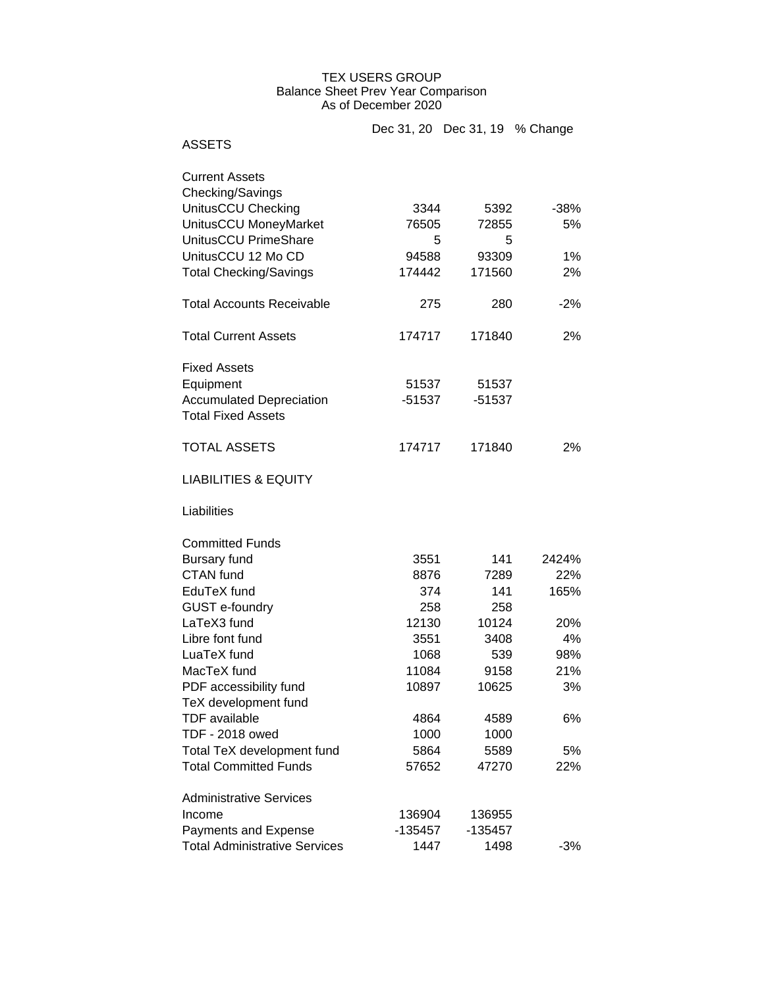## TEX USERS GROUP Balance Sheet Prev Year Comparison As of December 2020

|                                                              | Dec 31, 20 Dec 31, 19 % Change |           |        |
|--------------------------------------------------------------|--------------------------------|-----------|--------|
| <b>ASSETS</b>                                                |                                |           |        |
| <b>Current Assets</b>                                        |                                |           |        |
| Checking/Savings                                             |                                |           |        |
| UnitusCCU Checking                                           | 3344                           | 5392      | $-38%$ |
| UnitusCCU MoneyMarket                                        | 76505                          | 72855     | 5%     |
| UnitusCCU PrimeShare                                         | 5                              | 5         |        |
| UnitusCCU 12 Mo CD                                           | 94588                          | 93309     | 1%     |
| <b>Total Checking/Savings</b>                                | 174442                         | 171560    | 2%     |
| <b>Total Accounts Receivable</b>                             | 275                            | 280       | $-2%$  |
| <b>Total Current Assets</b>                                  | 174717                         | 171840    | 2%     |
| <b>Fixed Assets</b>                                          |                                |           |        |
| Equipment                                                    | 51537                          | 51537     |        |
| <b>Accumulated Depreciation</b><br><b>Total Fixed Assets</b> | -51537                         | $-51537$  |        |
| <b>TOTAL ASSETS</b>                                          | 174717                         | 171840    | 2%     |
| <b>LIABILITIES &amp; EQUITY</b>                              |                                |           |        |
| Liabilities                                                  |                                |           |        |
| <b>Committed Funds</b>                                       |                                |           |        |
| <b>Bursary fund</b>                                          | 3551                           | 141       | 2424%  |
| <b>CTAN</b> fund                                             | 8876                           | 7289      | 22%    |
| EduTeX fund                                                  | 374                            | 141       | 165%   |
| GUST e-foundry                                               | 258                            | 258       |        |
| LaTeX3 fund                                                  | 12130                          | 10124     | 20%    |
| Libre font fund                                              | 3551                           | 3408      | 4%     |
| LuaTeX fund                                                  | 1068                           | 539       | 98%    |
| MacTeX fund                                                  | 11084                          | 9158      | 21%    |
| PDF accessibility fund                                       | 10897                          | 10625     | 3%     |
| TeX development fund                                         |                                |           |        |
| <b>TDF</b> available                                         | 4864                           | 4589      | 6%     |
| <b>TDF - 2018 owed</b>                                       | 1000                           | 1000      |        |
| Total TeX development fund                                   | 5864                           | 5589      | 5%     |
| <b>Total Committed Funds</b>                                 | 57652                          | 47270     | 22%    |
| <b>Administrative Services</b>                               |                                |           |        |
| Income                                                       | 136904                         | 136955    |        |
| Payments and Expense                                         | $-135457$                      | $-135457$ |        |
| <b>Total Administrative Services</b>                         | 1447                           | 1498      | $-3%$  |